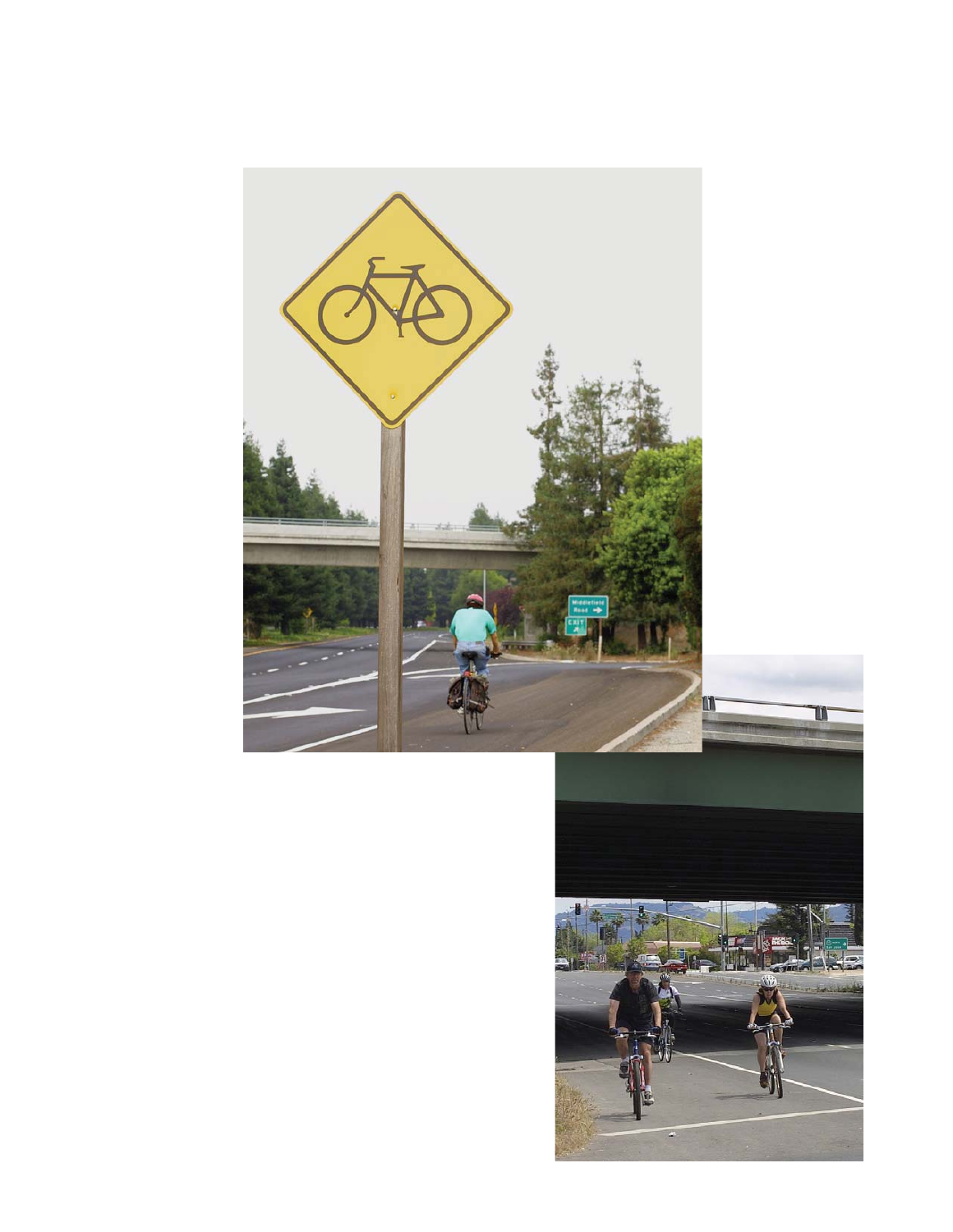



U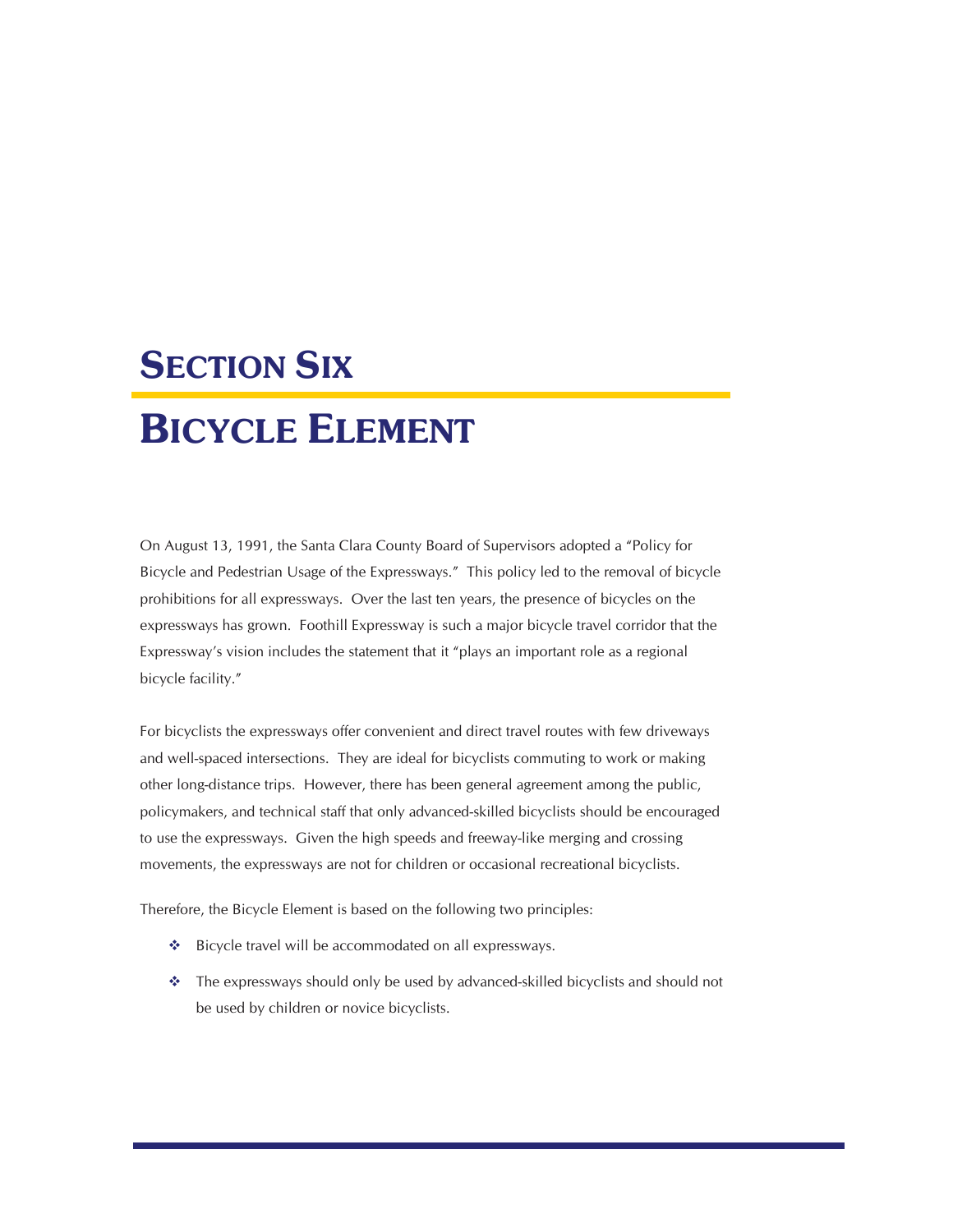# **SECTION SIX**

# BICYCLE ELEMENT

On August 13, 1991, the Santa Clara County Board of Supervisors adopted a "Policy for Bicycle and Pedestrian Usage of the Expressways." This policy led to the removal of bicycle prohibitions for all expressways. Over the last ten years, the presence of bicycles on the expressways has grown. Foothill Expressway is such a major bicycle travel corridor that the Expressway's vision includes the statement that it "plays an important role as a regional bicycle facility."

For bicyclists the expressways offer convenient and direct travel routes with few driveways and well-spaced intersections. They are ideal for bicyclists commuting to work or making other long-distance trips. However, there has been general agreement among the public, policymakers, and technical staff that only advanced-skilled bicyclists should be encouraged to use the expressways. Given the high speeds and freeway-like merging and crossing movements, the expressways are not for children or occasional recreational bicyclists.

Therefore, the Bicycle Element is based on the following two principles:

- ◆ Bicycle travel will be accommodated on all expressways.
- \* The expressways should only be used by advanced-skilled bicyclists and should not be used by children or novice bicyclists.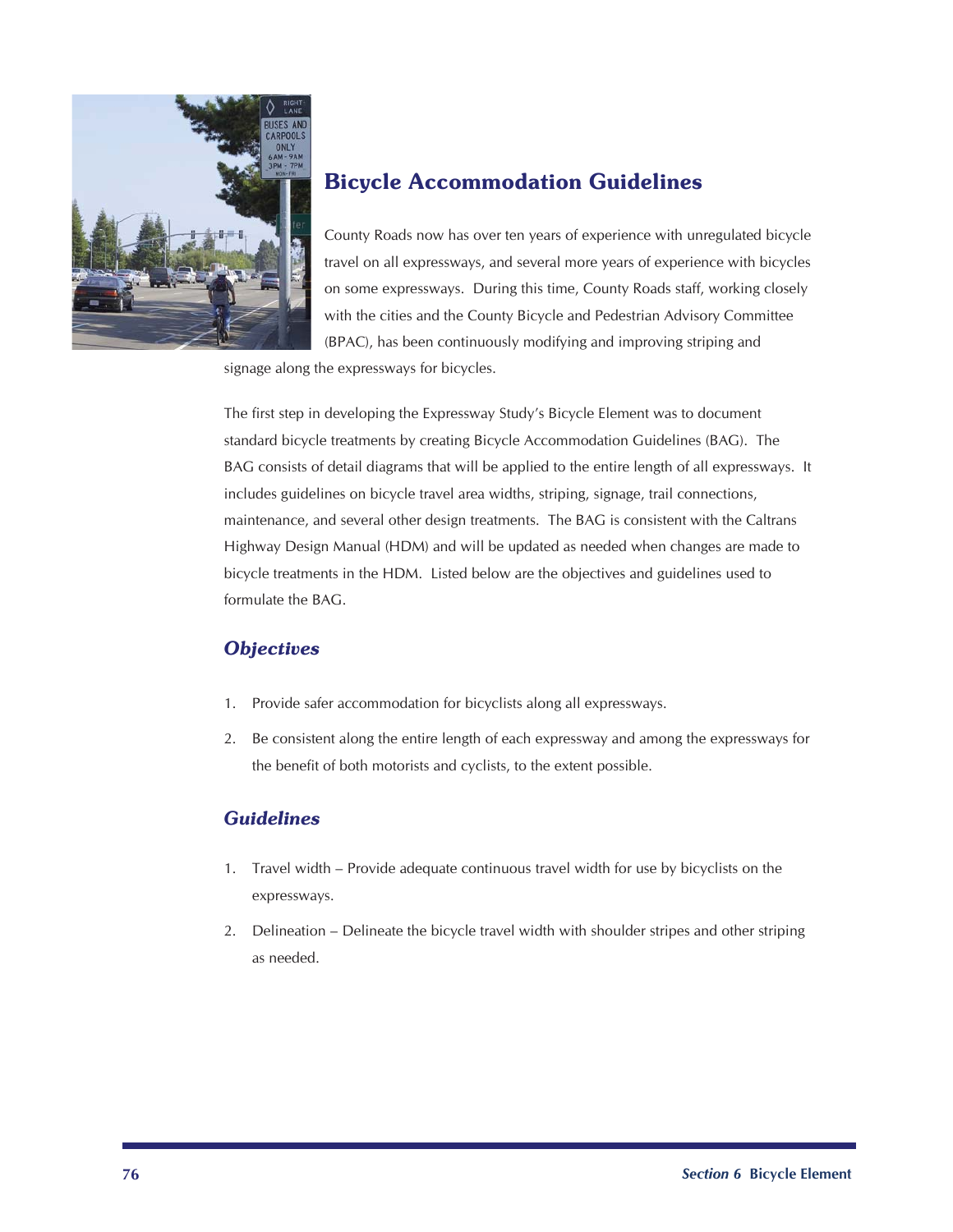

# Bicycle Accommodation Guidelines

County Roads now has over ten years of experience with unregulated bicycle travel on all expressways, and several more years of experience with bicycles on some expressways. During this time, County Roads staff, working closely with the cities and the County Bicycle and Pedestrian Advisory Committee (BPAC), has been continuously modifying and improving striping and

signage along the expressways for bicycles.

The first step in developing the Expressway Study's Bicycle Element was to document standard bicycle treatments by creating Bicycle Accommodation Guidelines (BAG). The BAG consists of detail diagrams that will be applied to the entire length of all expressways. It includes guidelines on bicycle travel area widths, striping, signage, trail connections, maintenance, and several other design treatments. The BAG is consistent with the Caltrans Highway Design Manual (HDM) and will be updated as needed when changes are made to bicycle treatments in the HDM. Listed below are the objectives and guidelines used to formulate the BAG.

#### *Objectives*

- 1. Provide safer accommodation for bicyclists along all expressways.
- 2. Be consistent along the entire length of each expressway and among the expressways for the benefit of both motorists and cyclists, to the extent possible.

#### *Guidelines*

- 1. Travel width Provide adequate continuous travel width for use by bicyclists on the expressways.
- 2. Delineation Delineate the bicycle travel width with shoulder stripes and other striping as needed.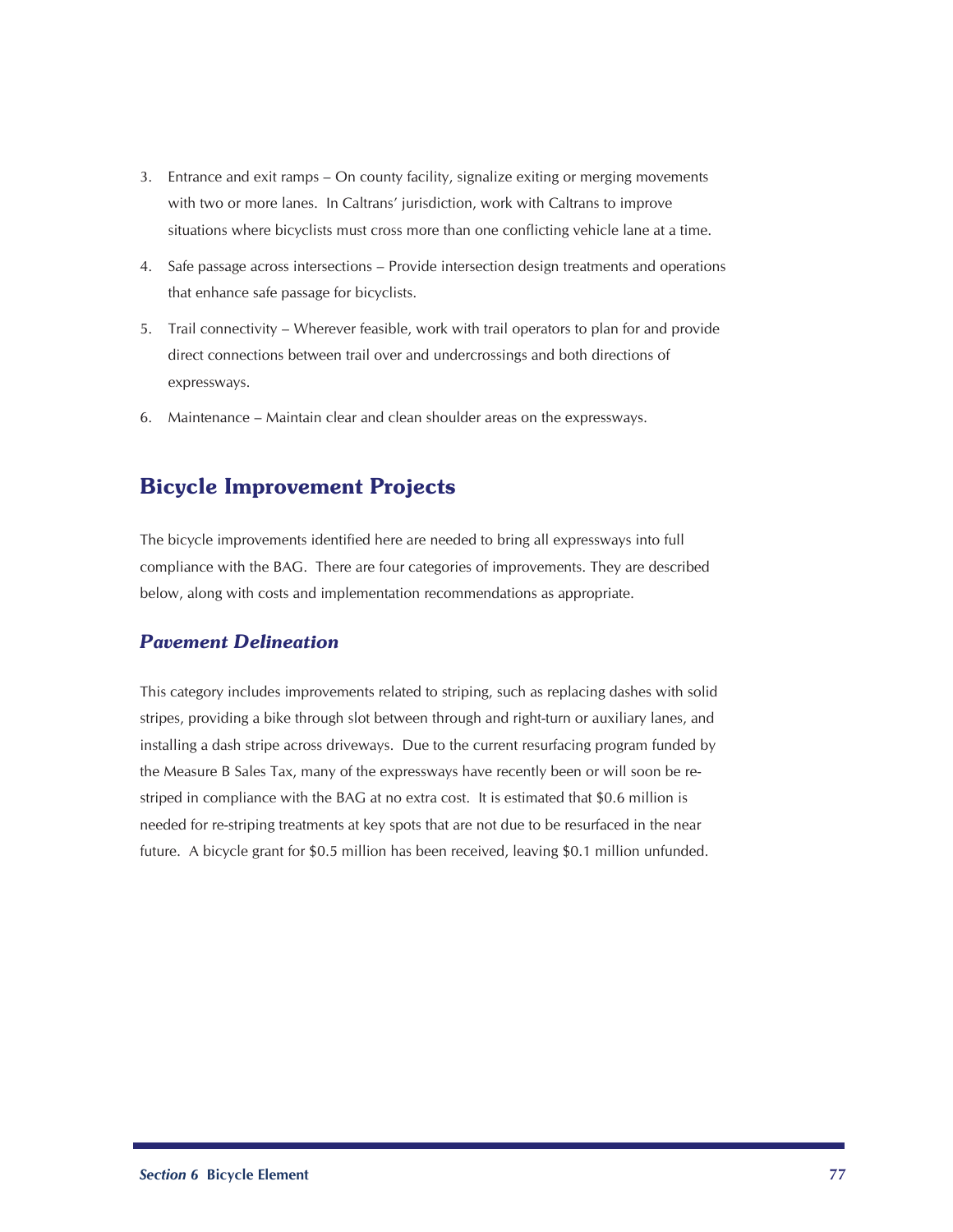- 3. Entrance and exit ramps On county facility, signalize exiting or merging movements with two or more lanes. In Caltrans' jurisdiction, work with Caltrans to improve situations where bicyclists must cross more than one conflicting vehicle lane at a time.
- 4. Safe passage across intersections Provide intersection design treatments and operations that enhance safe passage for bicyclists.
- 5. Trail connectivity Wherever feasible, work with trail operators to plan for and provide direct connections between trail over and undercrossings and both directions of expressways.
- 6. Maintenance Maintain clear and clean shoulder areas on the expressways.

## Bicycle Improvement Projects

The bicycle improvements identified here are needed to bring all expressways into full compliance with the BAG. There are four categories of improvements. They are described below, along with costs and implementation recommendations as appropriate.

#### *Pavement Delineation*

This category includes improvements related to striping, such as replacing dashes with solid stripes, providing a bike through slot between through and right-turn or auxiliary lanes, and installing a dash stripe across driveways. Due to the current resurfacing program funded by the Measure B Sales Tax, many of the expressways have recently been or will soon be restriped in compliance with the BAG at no extra cost. It is estimated that \$0.6 million is needed for re-striping treatments at key spots that are not due to be resurfaced in the near future. A bicycle grant for \$0.5 million has been received, leaving \$0.1 million unfunded.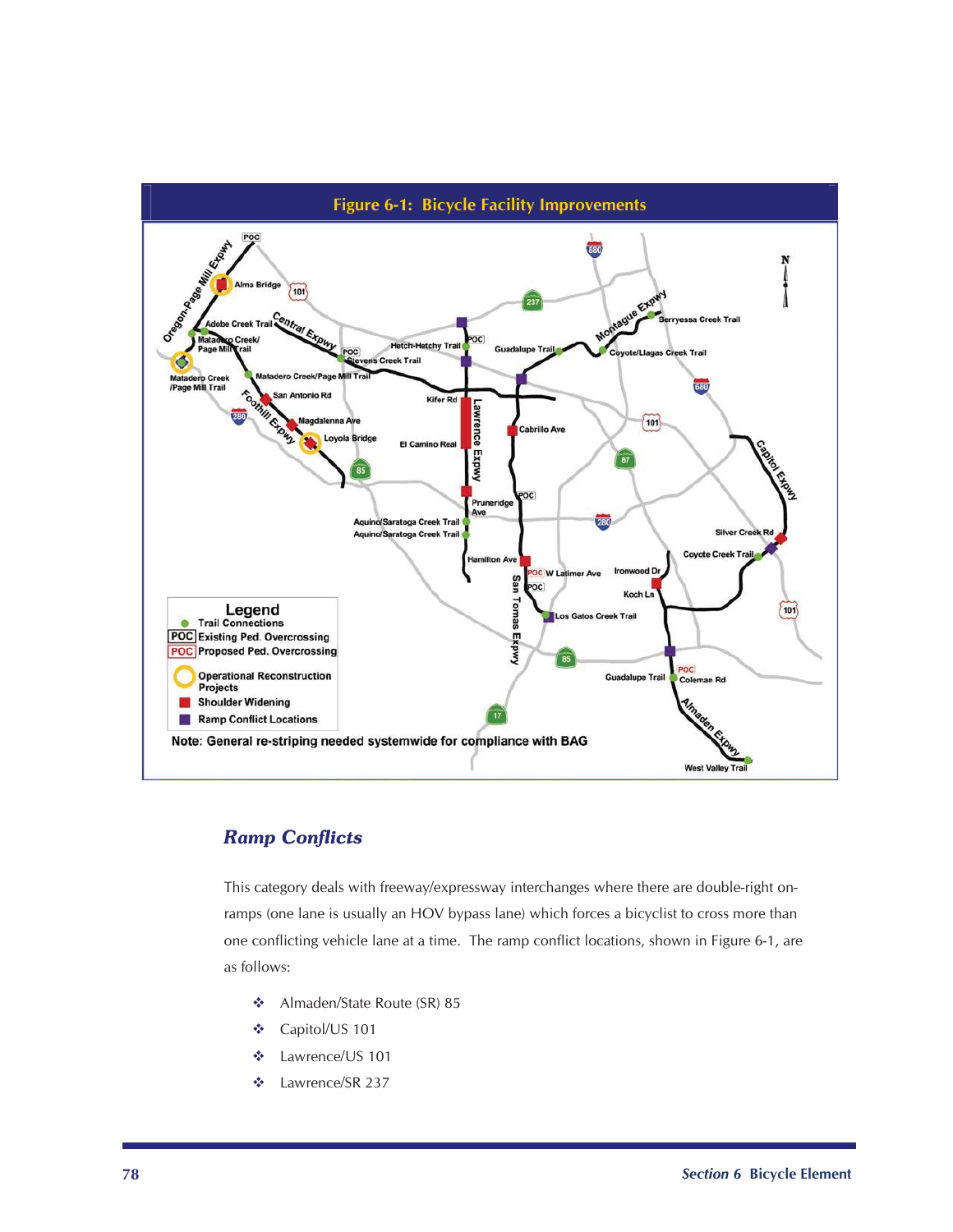

#### *Ramp Conflicts*

This category deals with freeway/expressway interchanges where there are double-right onramps (one lane is usually an HOV bypass lane) which forces a bicyclist to cross more than one conflicting vehicle lane at a time. The ramp conflict locations, shown in Figure 6-1, are as follows:

- Almaden/State Route (SR) 85
- ÷ Capitol/US 101
- ÷ Lawrence/US 101
- ÷ Lawrence/SR 237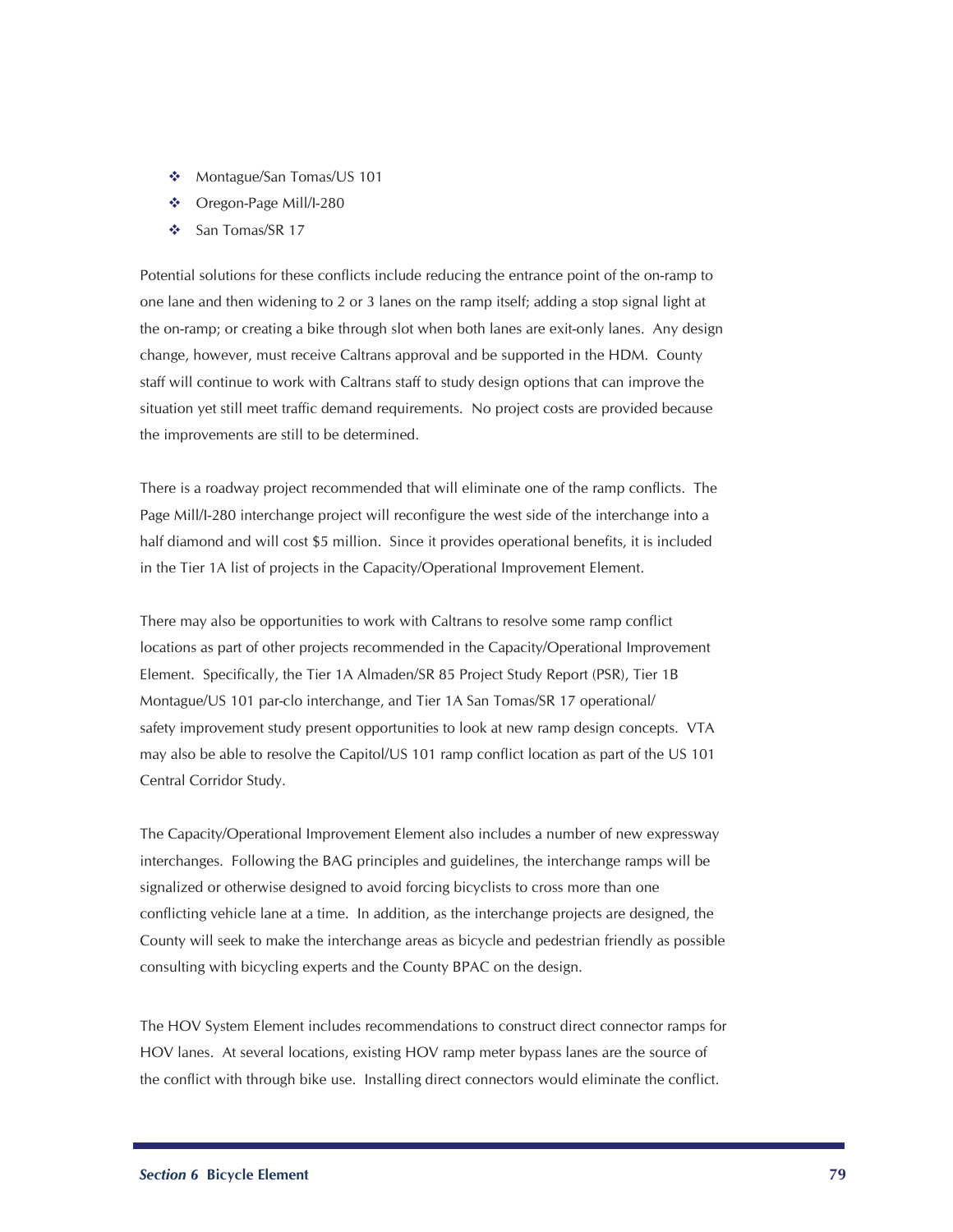- Montague/San Tomas/US 101
- Oregon-Page Mill/I-280
- ŵ San Tomas/SR 17

Potential solutions for these conflicts include reducing the entrance point of the on-ramp to one lane and then widening to 2 or 3 lanes on the ramp itself; adding a stop signal light at the on-ramp; or creating a bike through slot when both lanes are exit-only lanes. Any design change, however, must receive Caltrans approval and be supported in the HDM. County staff will continue to work with Caltrans staff to study design options that can improve the situation yet still meet traffic demand requirements. No project costs are provided because the improvements are still to be determined.

There is a roadway project recommended that will eliminate one of the ramp conflicts. The Page Mill/I-280 interchange project will reconfigure the west side of the interchange into a half diamond and will cost \$5 million. Since it provides operational benefits, it is included in the Tier 1A list of projects in the Capacity/Operational Improvement Element.

There may also be opportunities to work with Caltrans to resolve some ramp conflict locations as part of other projects recommended in the Capacity/Operational Improvement Element. Specifically, the Tier 1A Almaden/SR 85 Project Study Report (PSR), Tier 1B Montague/US 101 par-clo interchange, and Tier 1A San Tomas/SR 17 operational/ safety improvement study present opportunities to look at new ramp design concepts. VTA may also be able to resolve the Capitol/US 101 ramp conflict location as part of the US 101 Central Corridor Study.

The Capacity/Operational Improvement Element also includes a number of new expressway interchanges. Following the BAG principles and guidelines, the interchange ramps will be signalized or otherwise designed to avoid forcing bicyclists to cross more than one conflicting vehicle lane at a time. In addition, as the interchange projects are designed, the County will seek to make the interchange areas as bicycle and pedestrian friendly as possible consulting with bicycling experts and the County BPAC on the design.

The HOV System Element includes recommendations to construct direct connector ramps for HOV lanes. At several locations, existing HOV ramp meter bypass lanes are the source of the conflict with through bike use. Installing direct connectors would eliminate the conflict.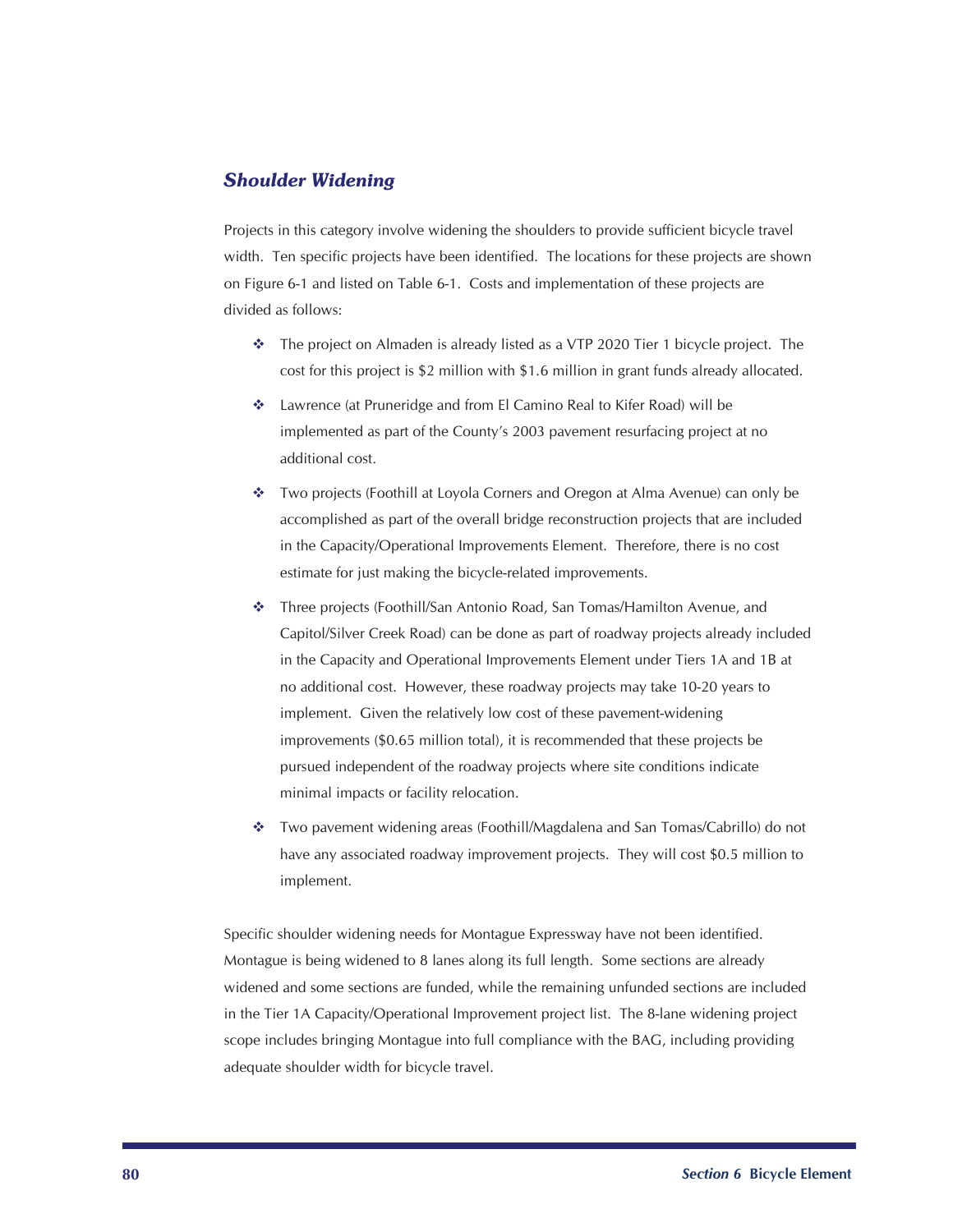#### *Shoulder Widening*

Projects in this category involve widening the shoulders to provide sufficient bicycle travel width. Ten specific projects have been identified. The locations for these projects are shown on Figure 6-1 and listed on Table 6-1. Costs and implementation of these projects are divided as follows:

- The project on Almaden is already listed as a VTP 2020 Tier 1 bicycle project. The cost for this project is \$2 million with \$1.6 million in grant funds already allocated.
- Lawrence (at Pruneridge and from El Camino Real to Kifer Road) will be implemented as part of the County's 2003 pavement resurfacing project at no additional cost.
- Two projects (Foothill at Loyola Corners and Oregon at Alma Avenue) can only be accomplished as part of the overall bridge reconstruction projects that are included in the Capacity/Operational Improvements Element. Therefore, there is no cost estimate for just making the bicycle-related improvements.
- 豪 Three projects (Foothill/San Antonio Road, San Tomas/Hamilton Avenue, and Capitol/Silver Creek Road) can be done as part of roadway projects already included in the Capacity and Operational Improvements Element under Tiers 1A and 1B at no additional cost. However, these roadway projects may take 10-20 years to implement. Given the relatively low cost of these pavement-widening improvements (\$0.65 million total), it is recommended that these projects be pursued independent of the roadway projects where site conditions indicate minimal impacts or facility relocation.
- Two pavement widening areas (Foothill/Magdalena and San Tomas/Cabrillo) do not have any associated roadway improvement projects. They will cost \$0.5 million to implement.

Specific shoulder widening needs for Montague Expressway have not been identified. Montague is being widened to 8 lanes along its full length. Some sections are already widened and some sections are funded, while the remaining unfunded sections are included in the Tier 1A Capacity/Operational Improvement project list. The 8-lane widening project scope includes bringing Montague into full compliance with the BAG, including providing adequate shoulder width for bicycle travel.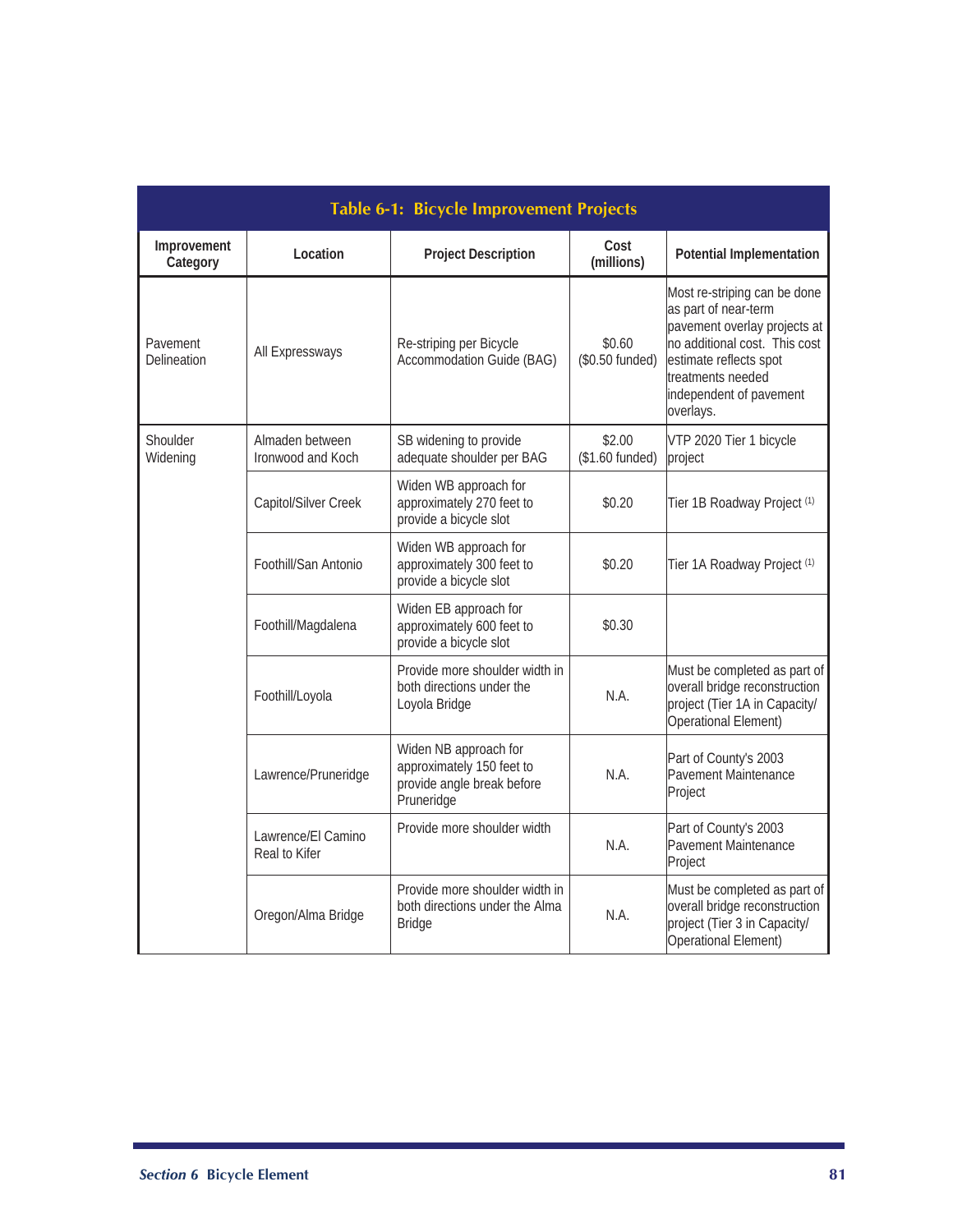| Table 6-1: Bicycle Improvement Projects |                                      |                                                                                                |                            |                                                                                                                                                                                                              |  |  |  |
|-----------------------------------------|--------------------------------------|------------------------------------------------------------------------------------------------|----------------------------|--------------------------------------------------------------------------------------------------------------------------------------------------------------------------------------------------------------|--|--|--|
| Improvement<br>Category                 | Location                             | <b>Project Description</b>                                                                     | Cost<br>(millions)         | Potential Implementation                                                                                                                                                                                     |  |  |  |
| Pavement<br>Delineation                 | All Expressways                      | Re-striping per Bicycle<br>Accommodation Guide (BAG)                                           | \$0.60<br>(\$0.50 funded)  | Most re-striping can be done<br>as part of near-term<br>pavement overlay projects at<br>no additional cost. This cost<br>estimate reflects spot<br>treatments needed<br>independent of pavement<br>overlays. |  |  |  |
| Shoulder<br>Widening                    | Almaden between<br>Ironwood and Koch | SB widening to provide<br>adequate shoulder per BAG                                            | \$2.00<br>$($1.60$ funded) | VTP 2020 Tier 1 bicycle<br>project                                                                                                                                                                           |  |  |  |
|                                         | Capitol/Silver Creek                 | Widen WB approach for<br>approximately 270 feet to<br>provide a bicycle slot                   | \$0.20                     | Tier 1B Roadway Project (1)                                                                                                                                                                                  |  |  |  |
|                                         | Foothill/San Antonio                 | Widen WB approach for<br>approximately 300 feet to<br>provide a bicycle slot                   | \$0.20                     | Tier 1A Roadway Project (1)                                                                                                                                                                                  |  |  |  |
|                                         | Foothill/Magdalena                   | Widen EB approach for<br>approximately 600 feet to<br>provide a bicycle slot                   | \$0.30                     |                                                                                                                                                                                                              |  |  |  |
|                                         | Foothill/Loyola                      | Provide more shoulder width in<br>both directions under the<br>Loyola Bridge                   | N.A.                       | Must be completed as part of<br>overall bridge reconstruction<br>project (Tier 1A in Capacity/<br>Operational Element)                                                                                       |  |  |  |
|                                         | Lawrence/Pruneridge                  | Widen NB approach for<br>approximately 150 feet to<br>provide angle break before<br>Pruneridge | N.A.                       | Part of County's 2003<br>Pavement Maintenance<br>Project                                                                                                                                                     |  |  |  |
|                                         | Lawrence/El Camino<br>Real to Kifer  | Provide more shoulder width                                                                    | N.A.                       | Part of County's 2003<br>Pavement Maintenance<br>Project                                                                                                                                                     |  |  |  |
|                                         | Oregon/Alma Bridge                   | Provide more shoulder width in<br>both directions under the Alma<br><b>Bridge</b>              | N.A.                       | Must be completed as part of<br>overall bridge reconstruction<br>project (Tier 3 in Capacity/<br>Operational Element)                                                                                        |  |  |  |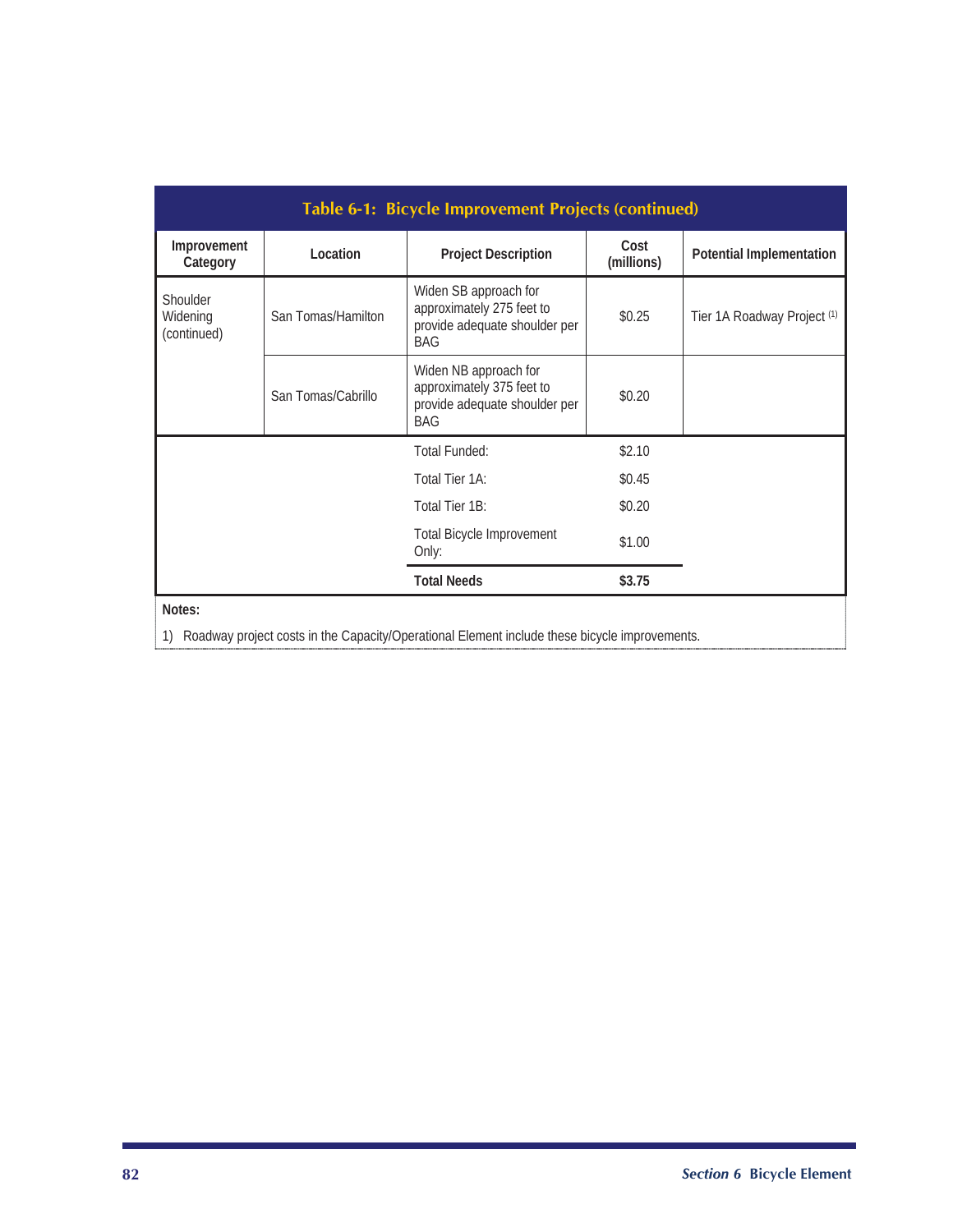| Table 6-1: Bicycle Improvement Projects (continued)                                                 |                    |                                                                                                   |                    |                             |  |  |  |
|-----------------------------------------------------------------------------------------------------|--------------------|---------------------------------------------------------------------------------------------------|--------------------|-----------------------------|--|--|--|
| Improvement<br>Category                                                                             | Location           | <b>Project Description</b>                                                                        | Cost<br>(millions) | Potential Implementation    |  |  |  |
| Shoulder<br>Widening<br>(continued)                                                                 | San Tomas/Hamilton | Widen SB approach for<br>approximately 275 feet to<br>provide adequate shoulder per<br><b>BAG</b> | \$0.25             | Tier 1A Roadway Project (1) |  |  |  |
|                                                                                                     | San Tomas/Cabrillo | Widen NB approach for<br>approximately 375 feet to<br>provide adequate shoulder per<br>BAG        | \$0.20             |                             |  |  |  |
|                                                                                                     |                    | Total Funded:                                                                                     | \$2.10             |                             |  |  |  |
|                                                                                                     |                    | Total Tier 1A:                                                                                    | \$0.45             |                             |  |  |  |
|                                                                                                     |                    | Total Tier 1B:                                                                                    | \$0.20             |                             |  |  |  |
|                                                                                                     |                    | <b>Total Bicycle Improvement</b><br>Only:                                                         | \$1.00             |                             |  |  |  |
|                                                                                                     |                    | <b>Total Needs</b>                                                                                | \$3.75             |                             |  |  |  |
| Notes:                                                                                              |                    |                                                                                                   |                    |                             |  |  |  |
| Roadway project costs in the Capacity/Operational Element include these bicycle improvements.<br>1) |                    |                                                                                                   |                    |                             |  |  |  |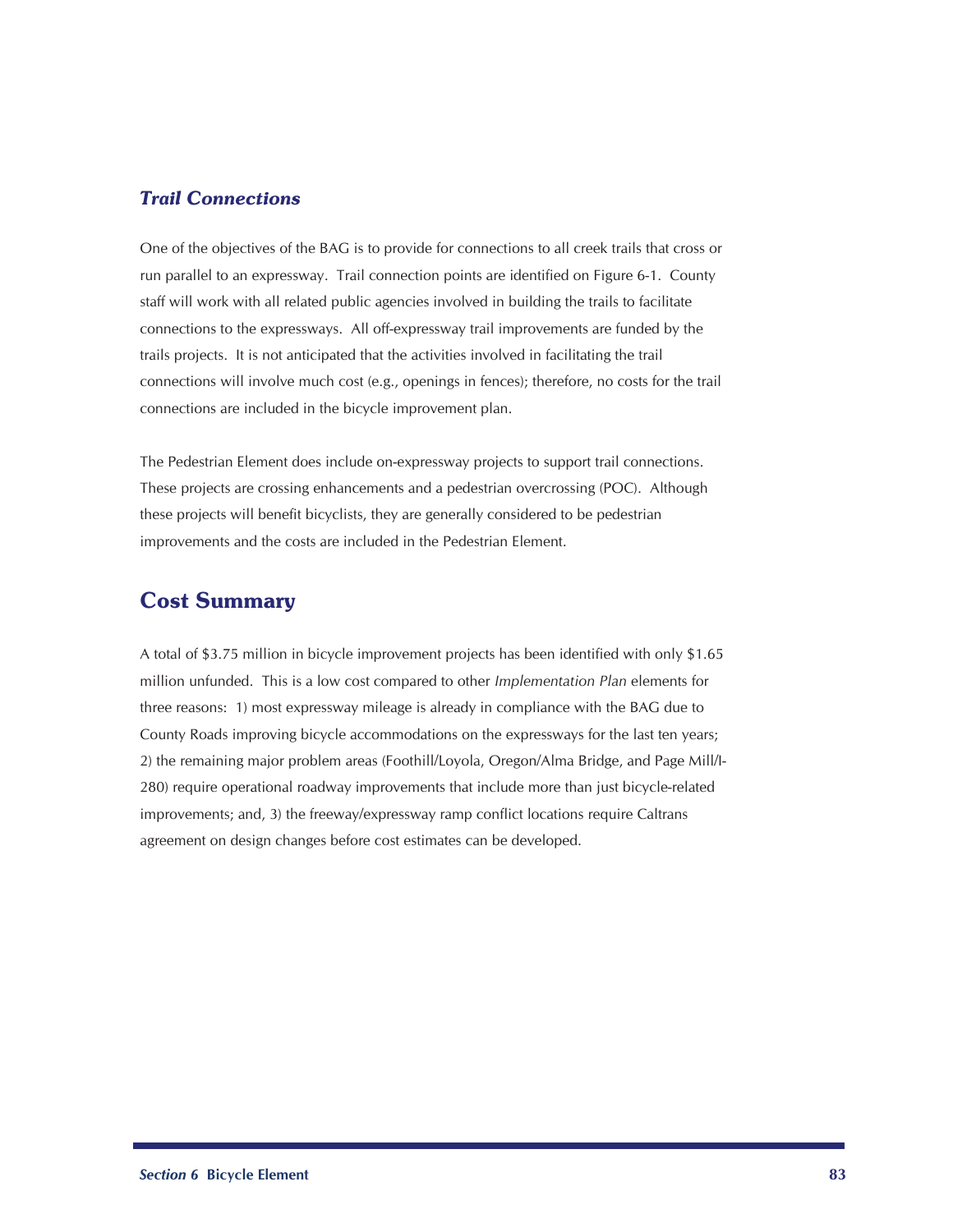#### *Trail Connections*

One of the objectives of the BAG is to provide for connections to all creek trails that cross or run parallel to an expressway. Trail connection points are identified on Figure 6-1. County staff will work with all related public agencies involved in building the trails to facilitate connections to the expressways. All off-expressway trail improvements are funded by the trails projects. It is not anticipated that the activities involved in facilitating the trail connections will involve much cost (e.g., openings in fences); therefore, no costs for the trail connections are included in the bicycle improvement plan.

The Pedestrian Element does include on-expressway projects to support trail connections. These projects are crossing enhancements and a pedestrian overcrossing (POC). Although these projects will benefit bicyclists, they are generally considered to be pedestrian improvements and the costs are included in the Pedestrian Element.

## Cost Summary

A total of \$3.75 million in bicycle improvement projects has been identified with only \$1.65 million unfunded. This is a low cost compared to other *Implementation Plan* elements for three reasons: 1) most expressway mileage is already in compliance with the BAG due to County Roads improving bicycle accommodations on the expressways for the last ten years; 2) the remaining major problem areas (Foothill/Loyola, Oregon/Alma Bridge, and Page Mill/I-280) require operational roadway improvements that include more than just bicycle-related improvements; and, 3) the freeway/expressway ramp conflict locations require Caltrans agreement on design changes before cost estimates can be developed.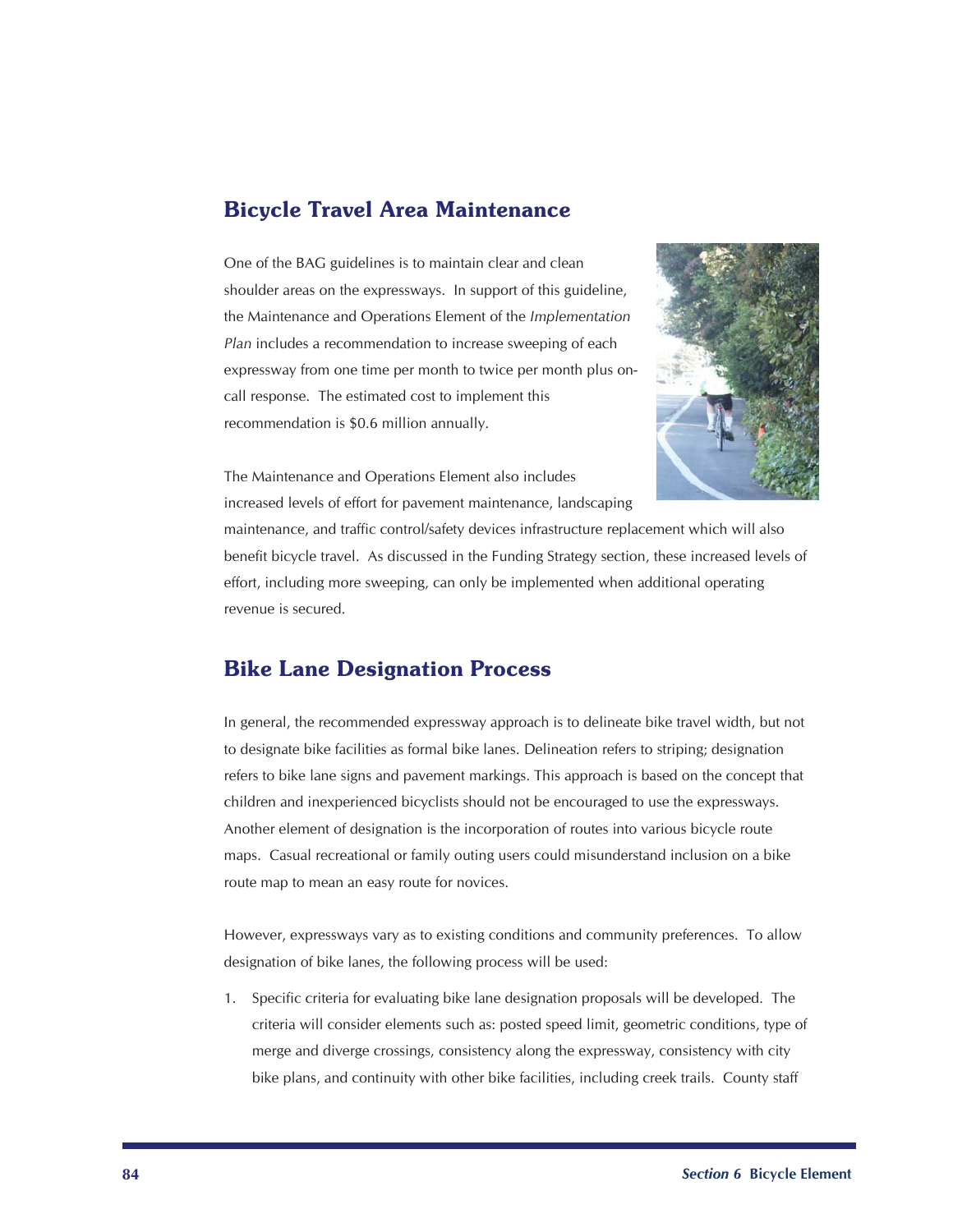#### Bicycle Travel Area Maintenance

One of the BAG guidelines is to maintain clear and clean shoulder areas on the expressways. In support of this guideline, the Maintenance and Operations Element of the *Implementation Plan* includes a recommendation to increase sweeping of each expressway from one time per month to twice per month plus oncall response. The estimated cost to implement this recommendation is \$0.6 million annually.



The Maintenance and Operations Element also includes increased levels of effort for pavement maintenance, landscaping

maintenance, and traffic control/safety devices infrastructure replacement which will also benefit bicycle travel. As discussed in the Funding Strategy section, these increased levels of effort, including more sweeping, can only be implemented when additional operating revenue is secured.

# Bike Lane Designation Process

In general, the recommended expressway approach is to delineate bike travel width, but not to designate bike facilities as formal bike lanes. Delineation refers to striping; designation refers to bike lane signs and pavement markings. This approach is based on the concept that children and inexperienced bicyclists should not be encouraged to use the expressways. Another element of designation is the incorporation of routes into various bicycle route maps. Casual recreational or family outing users could misunderstand inclusion on a bike route map to mean an easy route for novices.

However, expressways vary as to existing conditions and community preferences. To allow designation of bike lanes, the following process will be used:

1. Specific criteria for evaluating bike lane designation proposals will be developed. The criteria will consider elements such as: posted speed limit, geometric conditions, type of merge and diverge crossings, consistency along the expressway, consistency with city bike plans, and continuity with other bike facilities, including creek trails. County staff